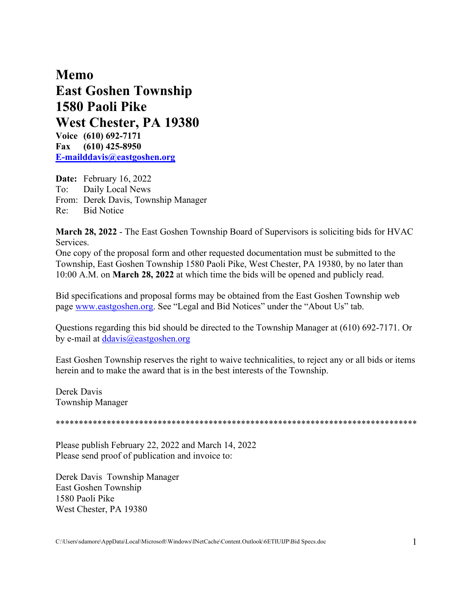**Memo East Goshen Township 1580 Paoli Pike West Chester, PA 19380 Voice (610) 692-7171 Fax (610) 425-8950 [E-mailddavis@eastgoshen.org](mailto:E-mailddavis@eastgoshen.org)**

**Date:** February 16, 2022 To: Daily Local News From: Derek Davis, Township Manager Re: Bid Notice

**March 28, 2022** - The East Goshen Township Board of Supervisors is soliciting bids for HVAC Services.

One copy of the proposal form and other requested documentation must be submitted to the Township, East Goshen Township 1580 Paoli Pike, West Chester, PA 19380, by no later than 10:00 A.M. on **March 28, 2022** at which time the bids will be opened and publicly read.

Bid specifications and proposal forms may be obtained from the East Goshen Township web page [www.eastgoshen.org.](http://www.eastgoshen.org/) See "Legal and Bid Notices" under the "About Us" tab.

Questions regarding this bid should be directed to the Township Manager at (610) 692-7171. Or by e-mail at [ddavis@eastgoshen.org](mailto:ddavis@eastgoshen.org) 

East Goshen Township reserves the right to waive technicalities, to reject any or all bids or items herein and to make the award that is in the best interests of the Township.

Derek Davis Township Manager

\*\*\*\*\*\*\*\*\*\*\*\*\*\*\*\*\*\*\*\*\*\*\*\*\*\*\*\*\*\*\*\*\*\*\*\*\*\*\*\*\*\*\*\*\*\*\*\*\*\*\*\*\*\*\*\*\*\*\*\*\*\*\*\*\*\*\*\*\*\*\*\*\*\*\*\*\*\*

Please publish February 22, 2022 and March 14, 2022 Please send proof of publication and invoice to:

Derek Davis Township Manager East Goshen Township 1580 Paoli Pike West Chester, PA 19380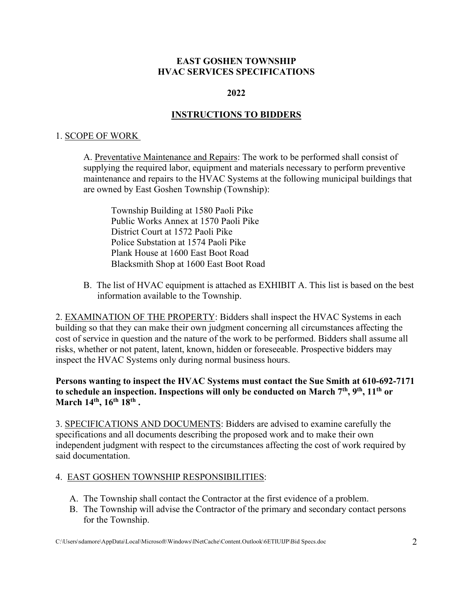### **EAST GOSHEN TOWNSHIP HVAC SERVICES SPECIFICATIONS**

#### **2022**

### **INSTRUCTIONS TO BIDDERS**

#### 1. SCOPE OF WORK

A. Preventative Maintenance and Repairs: The work to be performed shall consist of supplying the required labor, equipment and materials necessary to perform preventive maintenance and repairs to the HVAC Systems at the following municipal buildings that are owned by East Goshen Township (Township):

Township Building at 1580 Paoli Pike Public Works Annex at 1570 Paoli Pike District Court at 1572 Paoli Pike Police Substation at 1574 Paoli Pike Plank House at 1600 East Boot Road Blacksmith Shop at 1600 East Boot Road

B. The list of HVAC equipment is attached as EXHIBIT A. This list is based on the best information available to the Township.

2. EXAMINATION OF THE PROPERTY: Bidders shall inspect the HVAC Systems in each building so that they can make their own judgment concerning all circumstances affecting the cost of service in question and the nature of the work to be performed. Bidders shall assume all risks, whether or not patent, latent, known, hidden or foreseeable. Prospective bidders may inspect the HVAC Systems only during normal business hours.

**Persons wanting to inspect the HVAC Systems must contact the Sue Smith at 610-692-7171 to schedule an inspection. Inspections will only be conducted on March 7th, 9th, 11th or March 14th, 16th 18th .**

3. SPECIFICATIONS AND DOCUMENTS: Bidders are advised to examine carefully the specifications and all documents describing the proposed work and to make their own independent judgment with respect to the circumstances affecting the cost of work required by said documentation.

#### 4. EAST GOSHEN TOWNSHIP RESPONSIBILITIES:

- A. The Township shall contact the Contractor at the first evidence of a problem.
- B. The Township will advise the Contractor of the primary and secondary contact persons for the Township.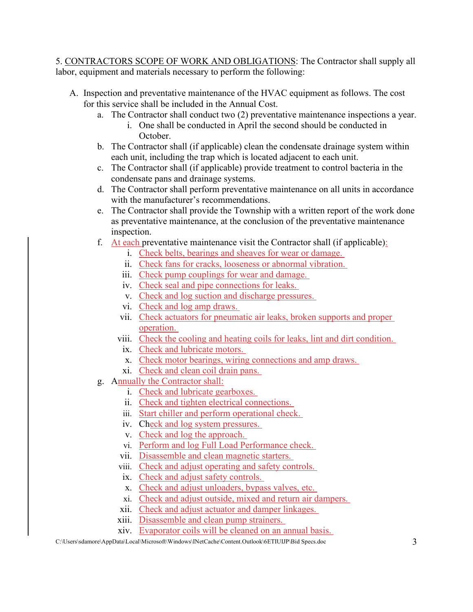5. CONTRACTORS SCOPE OF WORK AND OBLIGATIONS: The Contractor shall supply all labor, equipment and materials necessary to perform the following:

- A. Inspection and preventative maintenance of the HVAC equipment as follows. The cost for this service shall be included in the Annual Cost.
	- a. The Contractor shall conduct two (2) preventative maintenance inspections a year.
		- i. One shall be conducted in April the second should be conducted in October.
	- b. The Contractor shall (if applicable) clean the condensate drainage system within each unit, including the trap which is located adjacent to each unit.
	- c. The Contractor shall (if applicable) provide treatment to control bacteria in the condensate pans and drainage systems.
	- d. The Contractor shall perform preventative maintenance on all units in accordance with the manufacturer's recommendations.
	- e. The Contractor shall provide the Township with a written report of the work done as preventative maintenance, at the conclusion of the preventative maintenance inspection.
	- f. At each preventative maintenance visit the Contractor shall (if applicable):
		- i. Check belts, bearings and sheaves for wear or damage.
		- ii. Check fans for cracks, looseness or abnormal vibration.
		- iii. Check pump couplings for wear and damage.
		- iv. Check seal and pipe connections for leaks.
		- v. Check and log suction and discharge pressures.
		- vi. Check and log amp draws.
		- vii. Check actuators for pneumatic air leaks, broken supports and proper operation.
		- viii. Check the cooling and heating coils for leaks, lint and dirt condition.
		- ix. Check and lubricate motors.
		- x. Check motor bearings, wiring connections and amp draws.
		- xi. Check and clean coil drain pans.
	- g. Annually the Contractor shall:
		- i. Check and lubricate gearboxes.
		- ii. Check and tighten electrical connections.
		- iii. Start chiller and perform operational check.
		- iv. Check and log system pressures.
		- v. Check and log the approach.
		- vi. Perform and log Full Load Performance check.
		- vii. Disassemble and clean magnetic starters.
		- viii. Check and adjust operating and safety controls.
		- ix. Check and adjust safety controls.
		- x. Check and adjust unloaders, bypass valves, etc.
		- xi. Check and adjust outside, mixed and return air dampers.
		- xii. Check and adjust actuator and damper linkages.
		- xiii. Disassemble and clean pump strainers.
		- xiv. Evaporator coils will be cleaned on an annual basis.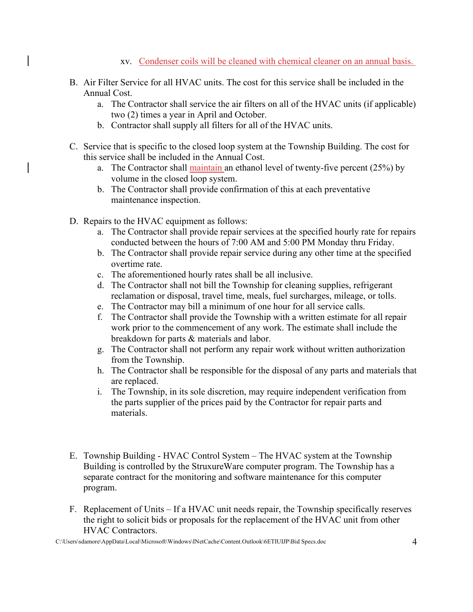- xv. Condenser coils will be cleaned with chemical cleaner on an annual basis.
- B. Air Filter Service for all HVAC units. The cost for this service shall be included in the Annual Cost.
	- a. The Contractor shall service the air filters on all of the HVAC units (if applicable) two (2) times a year in April and October.
	- b. Contractor shall supply all filters for all of the HVAC units.
- C. Service that is specific to the closed loop system at the Township Building. The cost for this service shall be included in the Annual Cost.
	- a. The Contractor shall maintain an ethanol level of twenty-five percent  $(25%)$  by volume in the closed loop system.
	- b. The Contractor shall provide confirmation of this at each preventative maintenance inspection.
- D. Repairs to the HVAC equipment as follows:
	- a. The Contractor shall provide repair services at the specified hourly rate for repairs conducted between the hours of 7:00 AM and 5:00 PM Monday thru Friday.
	- b. The Contractor shall provide repair service during any other time at the specified overtime rate.
	- c. The aforementioned hourly rates shall be all inclusive.
	- d. The Contractor shall not bill the Township for cleaning supplies, refrigerant reclamation or disposal, travel time, meals, fuel surcharges, mileage, or tolls.
	- e. The Contractor may bill a minimum of one hour for all service calls.
	- f. The Contractor shall provide the Township with a written estimate for all repair work prior to the commencement of any work. The estimate shall include the breakdown for parts & materials and labor.
	- g. The Contractor shall not perform any repair work without written authorization from the Township.
	- h. The Contractor shall be responsible for the disposal of any parts and materials that are replaced.
	- i. The Township, in its sole discretion, may require independent verification from the parts supplier of the prices paid by the Contractor for repair parts and materials.
- E. Township Building HVAC Control System The HVAC system at the Township Building is controlled by the StruxureWare computer program. The Township has a separate contract for the monitoring and software maintenance for this computer program.
- F. Replacement of Units If a HVAC unit needs repair, the Township specifically reserves the right to solicit bids or proposals for the replacement of the HVAC unit from other HVAC Contractors.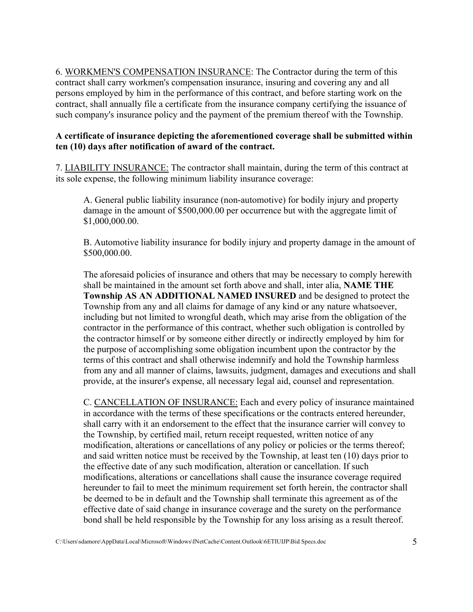6. WORKMEN'S COMPENSATION INSURANCE: The Contractor during the term of this contract shall carry workmen's compensation insurance, insuring and covering any and all persons employed by him in the performance of this contract, and before starting work on the contract, shall annually file a certificate from the insurance company certifying the issuance of such company's insurance policy and the payment of the premium thereof with the Township.

### **A certificate of insurance depicting the aforementioned coverage shall be submitted within ten (10) days after notification of award of the contract.**

7. LIABILITY INSURANCE: The contractor shall maintain, during the term of this contract at its sole expense, the following minimum liability insurance coverage:

A. General public liability insurance (non-automotive) for bodily injury and property damage in the amount of \$500,000.00 per occurrence but with the aggregate limit of \$1,000,000.00.

B. Automotive liability insurance for bodily injury and property damage in the amount of \$500,000.00.

The aforesaid policies of insurance and others that may be necessary to comply herewith shall be maintained in the amount set forth above and shall, inter alia, **NAME THE Township AS AN ADDITIONAL NAMED INSURED** and be designed to protect the Township from any and all claims for damage of any kind or any nature whatsoever, including but not limited to wrongful death, which may arise from the obligation of the contractor in the performance of this contract, whether such obligation is controlled by the contractor himself or by someone either directly or indirectly employed by him for the purpose of accomplishing some obligation incumbent upon the contractor by the terms of this contract and shall otherwise indemnify and hold the Township harmless from any and all manner of claims, lawsuits, judgment, damages and executions and shall provide, at the insurer's expense, all necessary legal aid, counsel and representation.

C. CANCELLATION OF INSURANCE: Each and every policy of insurance maintained in accordance with the terms of these specifications or the contracts entered hereunder, shall carry with it an endorsement to the effect that the insurance carrier will convey to the Township, by certified mail, return receipt requested, written notice of any modification, alterations or cancellations of any policy or policies or the terms thereof; and said written notice must be received by the Township, at least ten (10) days prior to the effective date of any such modification, alteration or cancellation. If such modifications, alterations or cancellations shall cause the insurance coverage required hereunder to fail to meet the minimum requirement set forth herein, the contractor shall be deemed to be in default and the Township shall terminate this agreement as of the effective date of said change in insurance coverage and the surety on the performance bond shall be held responsible by the Township for any loss arising as a result thereof.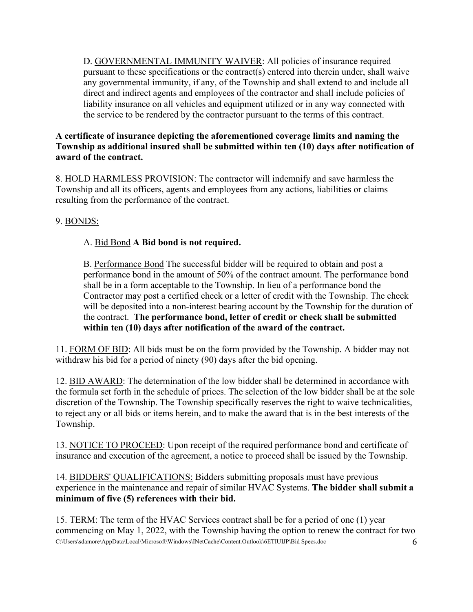D. GOVERNMENTAL IMMUNITY WAIVER: All policies of insurance required pursuant to these specifications or the contract(s) entered into therein under, shall waive any governmental immunity, if any, of the Township and shall extend to and include all direct and indirect agents and employees of the contractor and shall include policies of liability insurance on all vehicles and equipment utilized or in any way connected with the service to be rendered by the contractor pursuant to the terms of this contract.

### **A certificate of insurance depicting the aforementioned coverage limits and naming the Township as additional insured shall be submitted within ten (10) days after notification of award of the contract.**

8. HOLD HARMLESS PROVISION: The contractor will indemnify and save harmless the Township and all its officers, agents and employees from any actions, liabilities or claims resulting from the performance of the contract.

# 9. BONDS:

# A. Bid Bond **A Bid bond is not required.**

B. Performance Bond The successful bidder will be required to obtain and post a performance bond in the amount of 50% of the contract amount. The performance bond shall be in a form acceptable to the Township. In lieu of a performance bond the Contractor may post a certified check or a letter of credit with the Township. The check will be deposited into a non-interest bearing account by the Township for the duration of the contract. **The performance bond, letter of credit or check shall be submitted within ten (10) days after notification of the award of the contract.**

11. FORM OF BID: All bids must be on the form provided by the Township. A bidder may not withdraw his bid for a period of ninety (90) days after the bid opening.

12. BID AWARD: The determination of the low bidder shall be determined in accordance with the formula set forth in the schedule of prices. The selection of the low bidder shall be at the sole discretion of the Township. The Township specifically reserves the right to waive technicalities, to reject any or all bids or items herein, and to make the award that is in the best interests of the Township.

13. NOTICE TO PROCEED: Upon receipt of the required performance bond and certificate of insurance and execution of the agreement, a notice to proceed shall be issued by the Township.

14. BIDDERS' QUALIFICATIONS: Bidders submitting proposals must have previous experience in the maintenance and repair of similar HVAC Systems. **The bidder shall submit a minimum of five (5) references with their bid.**

C:\Users\sdamore\AppData\Local\Microsoft\Windows\INetCache\Content.Outlook\6ETIUIJP\Bid Specs.doc 6 15. TERM: The term of the HVAC Services contract shall be for a period of one (1) year commencing on May 1, 2022, with the Township having the option to renew the contract for two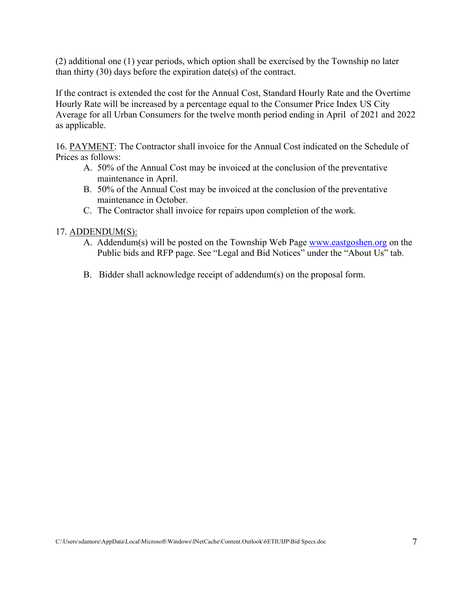(2) additional one (1) year periods, which option shall be exercised by the Township no later than thirty (30) days before the expiration date(s) of the contract.

If the contract is extended the cost for the Annual Cost, Standard Hourly Rate and the Overtime Hourly Rate will be increased by a percentage equal to the Consumer Price Index US City Average for all Urban Consumers for the twelve month period ending in April of 2021 and 2022 as applicable.

16. PAYMENT: The Contractor shall invoice for the Annual Cost indicated on the Schedule of Prices as follows:

- A. 50% of the Annual Cost may be invoiced at the conclusion of the preventative maintenance in April.
- B. 50% of the Annual Cost may be invoiced at the conclusion of the preventative maintenance in October.
- C. The Contractor shall invoice for repairs upon completion of the work.

#### 17. ADDENDUM(S):

- A. Addendum(s) will be posted on the Township Web Page [www.eastgoshen.org](http://www.eastgoshen.org/) on the Public bids and RFP page. See "Legal and Bid Notices" under the "About Us" tab.
- B. Bidder shall acknowledge receipt of addendum(s) on the proposal form.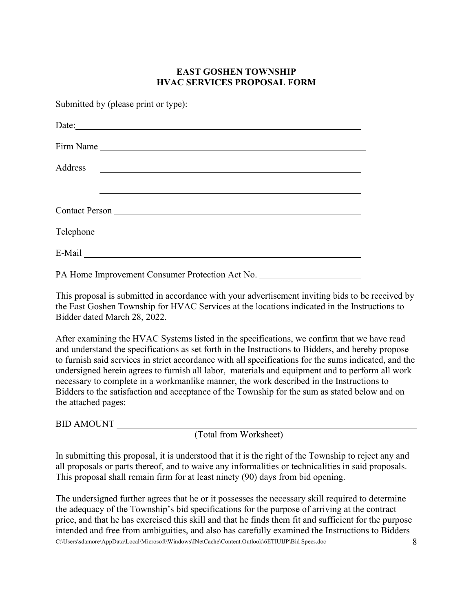### **EAST GOSHEN TOWNSHIP HVAC SERVICES PROPOSAL FORM**

Submitted by (please print or type):

| Date:                                                                                      |
|--------------------------------------------------------------------------------------------|
|                                                                                            |
| Address<br><u> 1980 - Andrea Andrew Maria (h. 1980).</u><br>1900 - Andrew Maria (h. 1900). |
|                                                                                            |
|                                                                                            |
|                                                                                            |
| $E-Mail$                                                                                   |

PA Home Improvement Consumer Protection Act No.

This proposal is submitted in accordance with your advertisement inviting bids to be received by the East Goshen Township for HVAC Services at the locations indicated in the Instructions to Bidder dated March 28, 2022.

After examining the HVAC Systems listed in the specifications, we confirm that we have read and understand the specifications as set forth in the Instructions to Bidders, and hereby propose to furnish said services in strict accordance with all specifications for the sums indicated, and the undersigned herein agrees to furnish all labor, materials and equipment and to perform all work necessary to complete in a workmanlike manner, the work described in the Instructions to Bidders to the satisfaction and acceptance of the Township for the sum as stated below and on the attached pages:

BID AMOUNT

(Total from Worksheet)

In submitting this proposal, it is understood that it is the right of the Township to reject any and all proposals or parts thereof, and to waive any informalities or technicalities in said proposals. This proposal shall remain firm for at least ninety (90) days from bid opening.

C:\Users\sdamore\AppData\Local\Microsoft\Windows\INetCache\Content.Outlook\6ETIUIJP\Bid Specs.doc 8 The undersigned further agrees that he or it possesses the necessary skill required to determine the adequacy of the Township's bid specifications for the purpose of arriving at the contract price, and that he has exercised this skill and that he finds them fit and sufficient for the purpose intended and free from ambiguities, and also has carefully examined the Instructions to Bidders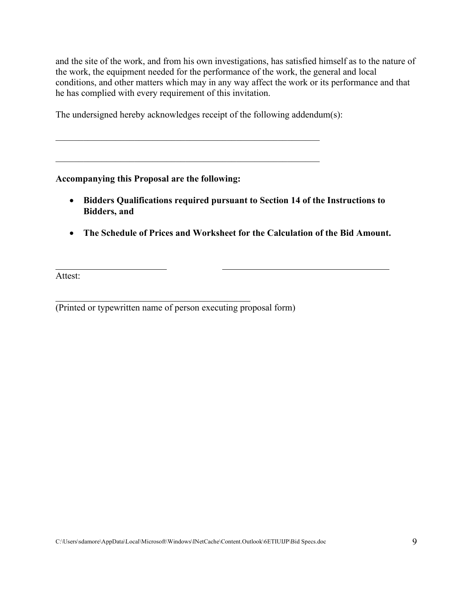and the site of the work, and from his own investigations, has satisfied himself as to the nature of the work, the equipment needed for the performance of the work, the general and local conditions, and other matters which may in any way affect the work or its performance and that he has complied with every requirement of this invitation.

The undersigned hereby acknowledges receipt of the following addendum(s):

\_\_\_\_\_\_\_\_\_\_\_\_\_\_\_\_\_\_\_\_\_\_\_\_\_\_\_\_\_\_\_\_\_\_\_\_\_\_\_\_\_\_\_\_\_\_\_\_\_\_\_\_\_\_\_\_\_

### **Accompanying this Proposal are the following:**

- **Bidders Qualifications required pursuant to Section 14 of the Instructions to Bidders, and**
- **The Schedule of Prices and Worksheet for the Calculation of the Bid Amount.**

Attest:

(Printed or typewritten name of person executing proposal form)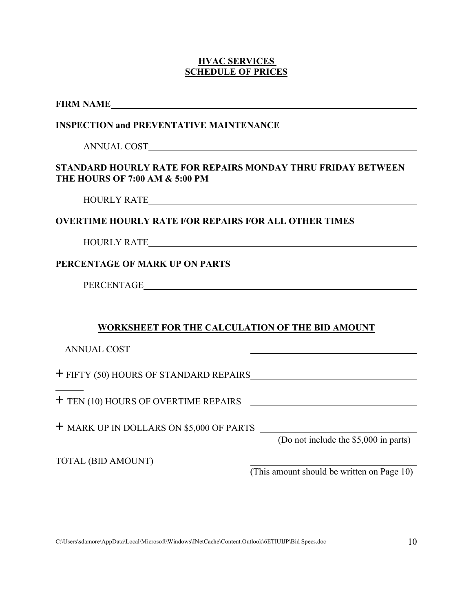#### **HVAC SERVICES SCHEDULE OF PRICES**

| <b>FIRM NAME</b> |
|------------------|
|                  |

### **INSPECTION and PREVENTATIVE MAINTENANCE**

ANNUAL COST

### **STANDARD HOURLY RATE FOR REPAIRS MONDAY THRU FRIDAY BETWEEN THE HOURS OF 7:00 AM & 5:00 PM**

HOURLY RATE

### **OVERTIME HOURLY RATE FOR REPAIRS FOR ALL OTHER TIMES**

HOURLY RATE

### **PERCENTAGE OF MARK UP ON PARTS**

PERCENTAGE

## **WORKSHEET FOR THE CALCULATION OF THE BID AMOUNT**

ANNUAL COST

**+** FIFTY (50) HOURS OF STANDARD REPAIRS

**+** TEN (10) HOURS OF OVERTIME REPAIRS

**+** MARK UP IN DOLLARS ON \$5,000 OF PARTS

(Do not include the \$5,000 in parts)

TOTAL (BID AMOUNT)

(This amount should be written on Page 10)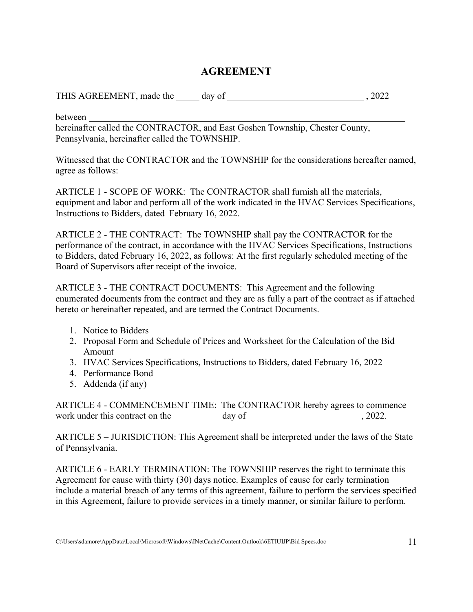# **AGREEMENT**

THIS AGREEMENT, made the day of  $\qquad \qquad$  , 2022

between

hereinafter called the CONTRACTOR, and East Goshen Township, Chester County, Pennsylvania, hereinafter called the TOWNSHIP.

Witnessed that the CONTRACTOR and the TOWNSHIP for the considerations hereafter named, agree as follows:

ARTICLE 1 - SCOPE OF WORK: The CONTRACTOR shall furnish all the materials, equipment and labor and perform all of the work indicated in the HVAC Services Specifications, Instructions to Bidders, dated February 16, 2022.

ARTICLE 2 - THE CONTRACT: The TOWNSHIP shall pay the CONTRACTOR for the performance of the contract, in accordance with the HVAC Services Specifications, Instructions to Bidders, dated February 16, 2022, as follows: At the first regularly scheduled meeting of the Board of Supervisors after receipt of the invoice.

ARTICLE 3 - THE CONTRACT DOCUMENTS: This Agreement and the following enumerated documents from the contract and they are as fully a part of the contract as if attached hereto or hereinafter repeated, and are termed the Contract Documents.

- 1. Notice to Bidders
- 2. Proposal Form and Schedule of Prices and Worksheet for the Calculation of the Bid Amount
- 3. HVAC Services Specifications, Instructions to Bidders, dated February 16, 2022
- 4. Performance Bond
- 5. Addenda (if any)

ARTICLE 4 - COMMENCEMENT TIME: The CONTRACTOR hereby agrees to commence work under this contract on the day of , 2022.

ARTICLE 5 – JURISDICTION: This Agreement shall be interpreted under the laws of the State of Pennsylvania.

ARTICLE 6 - EARLY TERMINATION: The TOWNSHIP reserves the right to terminate this Agreement for cause with thirty (30) days notice. Examples of cause for early termination include a material breach of any terms of this agreement, failure to perform the services specified in this Agreement, failure to provide services in a timely manner, or similar failure to perform.